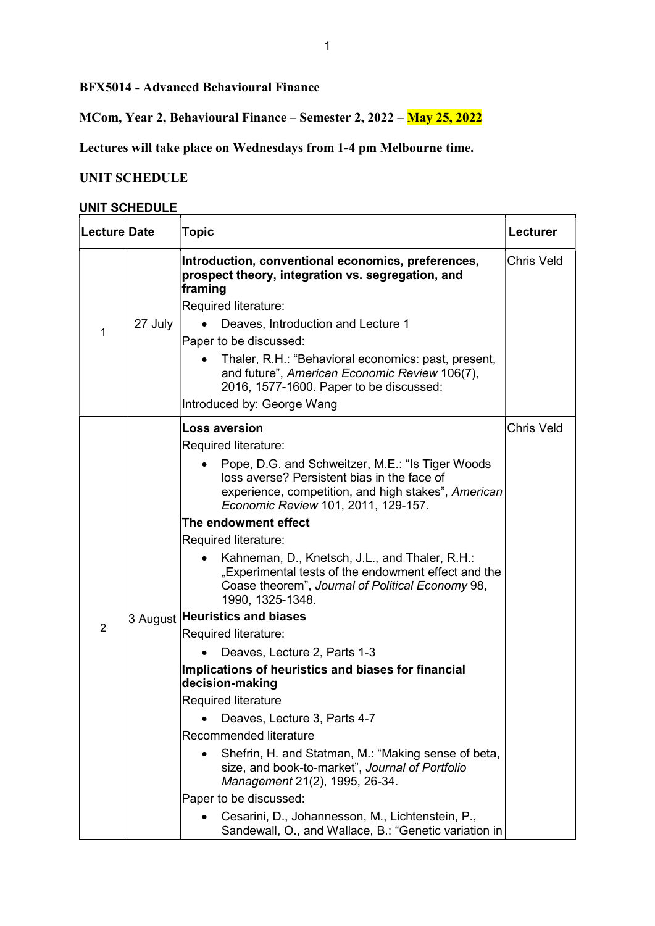BFX5014 - Advanced Behavioural Finance

MCom, Year 2, Behavioural Finance – Semester 2, 2022 – May 25, 2022

Lectures will take place on Wednesdays from 1-4 pm Melbourne time.

## UNIT SCHEDULE

#### UNIT SCHEDULE

| Lecture Date   |         | <b>Topic</b>                                                                                                                                                                                                                                                                                                                                                                                                                                                                                                                                                                                                                                                                                                                                                                                                                                                                                                                                                                                                                  | Lecturer          |
|----------------|---------|-------------------------------------------------------------------------------------------------------------------------------------------------------------------------------------------------------------------------------------------------------------------------------------------------------------------------------------------------------------------------------------------------------------------------------------------------------------------------------------------------------------------------------------------------------------------------------------------------------------------------------------------------------------------------------------------------------------------------------------------------------------------------------------------------------------------------------------------------------------------------------------------------------------------------------------------------------------------------------------------------------------------------------|-------------------|
| 1              | 27 July | Introduction, conventional economics, preferences,<br>prospect theory, integration vs. segregation, and<br>framing<br>Required literature:<br>Deaves, Introduction and Lecture 1<br>Paper to be discussed:<br>Thaler, R.H.: "Behavioral economics: past, present,<br>and future", American Economic Review 106(7),<br>2016, 1577-1600. Paper to be discussed:<br>Introduced by: George Wang                                                                                                                                                                                                                                                                                                                                                                                                                                                                                                                                                                                                                                   | <b>Chris Veld</b> |
| $\overline{2}$ |         | <b>Loss aversion</b><br>Required literature:<br>Pope, D.G. and Schweitzer, M.E.: "Is Tiger Woods<br>loss averse? Persistent bias in the face of<br>experience, competition, and high stakes", American<br>Economic Review 101, 2011, 129-157.<br>The endowment effect<br>Required literature:<br>Kahneman, D., Knetsch, J.L., and Thaler, R.H.:<br>"Experimental tests of the endowment effect and the<br>Coase theorem", Journal of Political Economy 98,<br>1990, 1325-1348.<br>3 August Heuristics and biases<br>Required literature:<br>Deaves, Lecture 2, Parts 1-3<br>Implications of heuristics and biases for financial<br>decision-making<br><b>Required literature</b><br>Deaves, Lecture 3, Parts 4-7<br>Recommended literature<br>Shefrin, H. and Statman, M.: "Making sense of beta,<br>size, and book-to-market", Journal of Portfolio<br>Management 21(2), 1995, 26-34.<br>Paper to be discussed:<br>Cesarini, D., Johannesson, M., Lichtenstein, P.,<br>Sandewall, O., and Wallace, B.: "Genetic variation in | Chris Veld        |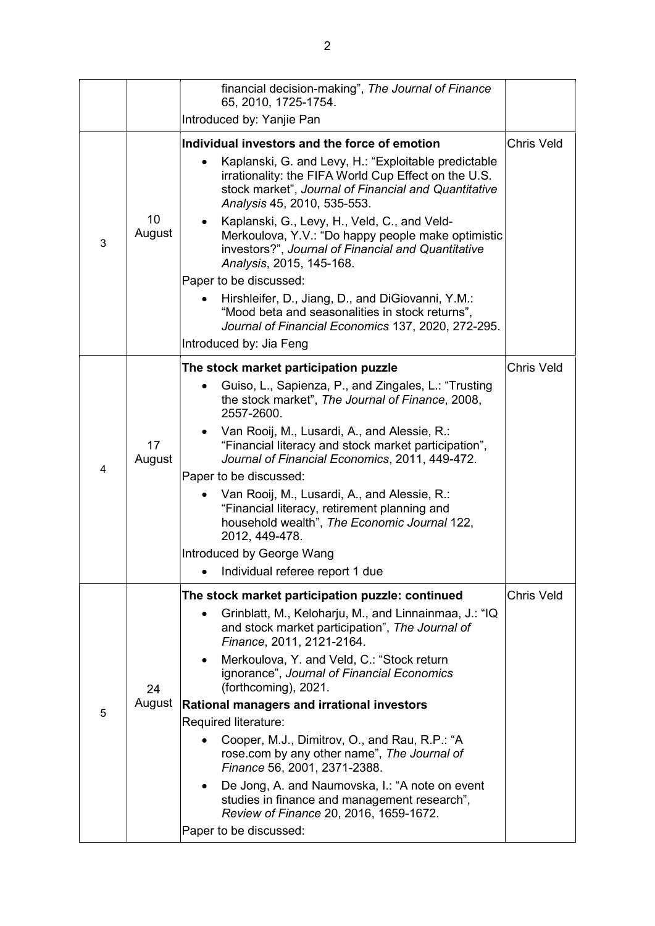|   |                         | financial decision-making", The Journal of Finance<br>65, 2010, 1725-1754.                                                                                                                          |                   |
|---|-------------------------|-----------------------------------------------------------------------------------------------------------------------------------------------------------------------------------------------------|-------------------|
|   |                         | Introduced by: Yanjie Pan                                                                                                                                                                           |                   |
|   | 10<br>August            | Individual investors and the force of emotion                                                                                                                                                       | <b>Chris Veld</b> |
| 3 |                         | Kaplanski, G. and Levy, H.: "Exploitable predictable<br>irrationality: the FIFA World Cup Effect on the U.S.<br>stock market", Journal of Financial and Quantitative<br>Analysis 45, 2010, 535-553. |                   |
|   |                         | Kaplanski, G., Levy, H., Veld, C., and Veld-<br>Merkoulova, Y.V.: "Do happy people make optimistic<br>investors?", Journal of Financial and Quantitative<br>Analysis, 2015, 145-168.                |                   |
|   |                         | Paper to be discussed:                                                                                                                                                                              |                   |
|   |                         | Hirshleifer, D., Jiang, D., and DiGiovanni, Y.M.:<br>"Mood beta and seasonalities in stock returns",<br>Journal of Financial Economics 137, 2020, 272-295.                                          |                   |
|   | Introduced by: Jia Feng |                                                                                                                                                                                                     |                   |
|   | 17<br>August            | The stock market participation puzzle                                                                                                                                                               | <b>Chris Veld</b> |
|   |                         | Guiso, L., Sapienza, P., and Zingales, L.: "Trusting<br>the stock market", The Journal of Finance, 2008,<br>2557-2600.                                                                              |                   |
|   |                         | Van Rooij, M., Lusardi, A., and Alessie, R.:<br>"Financial literacy and stock market participation",<br>Journal of Financial Economics, 2011, 449-472.                                              |                   |
| 4 |                         | Paper to be discussed:                                                                                                                                                                              |                   |
|   |                         | Van Rooij, M., Lusardi, A., and Alessie, R.:<br>"Financial literacy, retirement planning and<br>household wealth", The Economic Journal 122,<br>2012, 449-478.                                      |                   |
|   |                         | Introduced by George Wang                                                                                                                                                                           |                   |
|   |                         | Individual referee report 1 due                                                                                                                                                                     |                   |
|   | 24<br>August            | The stock market participation puzzle: continued                                                                                                                                                    | <b>Chris Veld</b> |
|   |                         | Grinblatt, M., Keloharju, M., and Linnainmaa, J.: "IQ<br>and stock market participation", The Journal of<br>Finance, 2011, 2121-2164.                                                               |                   |
|   |                         | Merkoulova, Y. and Veld, C.: "Stock return<br>ignorance", Journal of Financial Economics<br>(forthcoming), 2021.                                                                                    |                   |
| 5 |                         | <b>Rational managers and irrational investors</b>                                                                                                                                                   |                   |
|   |                         | Required literature:                                                                                                                                                                                |                   |
|   |                         | Cooper, M.J., Dimitrov, O., and Rau, R.P.: "A<br>rose.com by any other name", The Journal of<br>Finance 56, 2001, 2371-2388.                                                                        |                   |
|   |                         | De Jong, A. and Naumovska, I.: "A note on event<br>$\bullet$<br>studies in finance and management research",<br>Review of Finance 20, 2016, 1659-1672.                                              |                   |
|   |                         | Paper to be discussed:                                                                                                                                                                              |                   |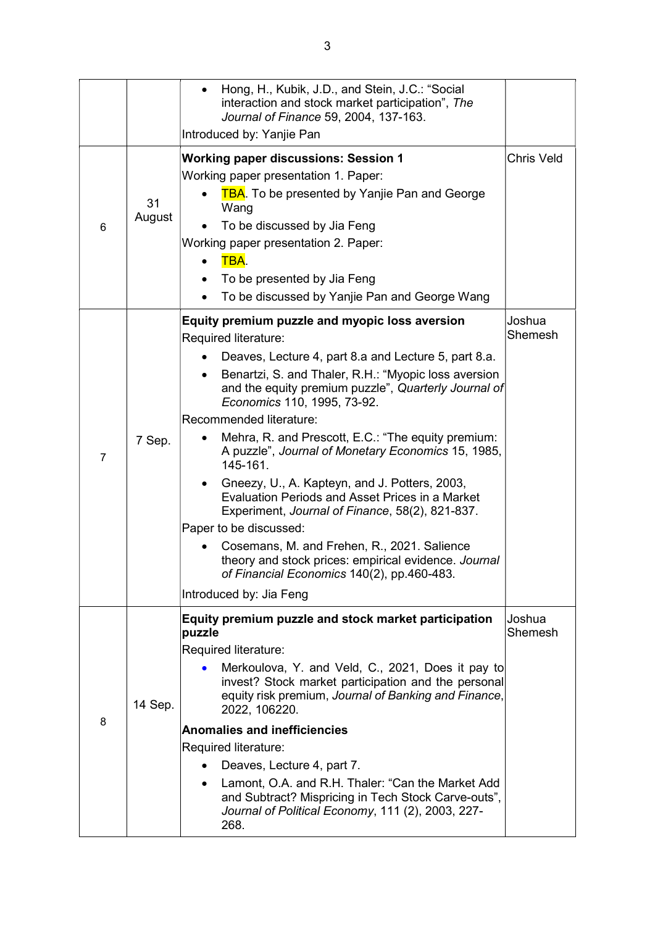|                |              | Hong, H., Kubik, J.D., and Stein, J.C.: "Social<br>interaction and stock market participation", The<br>Journal of Finance 59, 2004, 137-163.<br>Introduced by: Yanjie Pan                                                                                                                                                                                                                                                                                                                                                                                                                                                                                                                                                                                                                         |                   |
|----------------|--------------|---------------------------------------------------------------------------------------------------------------------------------------------------------------------------------------------------------------------------------------------------------------------------------------------------------------------------------------------------------------------------------------------------------------------------------------------------------------------------------------------------------------------------------------------------------------------------------------------------------------------------------------------------------------------------------------------------------------------------------------------------------------------------------------------------|-------------------|
| 6              | 31<br>August | <b>Working paper discussions: Session 1</b><br>Working paper presentation 1. Paper:<br><b>TBA.</b> To be presented by Yanjie Pan and George<br>Wang<br>To be discussed by Jia Feng<br>Working paper presentation 2. Paper:<br>TBA.<br>To be presented by Jia Feng<br>To be discussed by Yanjie Pan and George Wang                                                                                                                                                                                                                                                                                                                                                                                                                                                                                | <b>Chris Veld</b> |
| $\overline{7}$ | 7 Sep.       | Equity premium puzzle and myopic loss aversion<br>Required literature:<br>Deaves, Lecture 4, part 8.a and Lecture 5, part 8.a.<br>Benartzi, S. and Thaler, R.H.: "Myopic loss aversion<br>and the equity premium puzzle", Quarterly Journal of<br>Economics 110, 1995, 73-92.<br>Recommended literature:<br>Mehra, R. and Prescott, E.C.: "The equity premium:<br>A puzzle", Journal of Monetary Economics 15, 1985,<br>145-161.<br>Gneezy, U., A. Kapteyn, and J. Potters, 2003,<br>Evaluation Periods and Asset Prices in a Market<br>Experiment, Journal of Finance, 58(2), 821-837.<br>Paper to be discussed:<br>Cosemans, M. and Frehen, R., 2021. Salience<br>theory and stock prices: empirical evidence. Journal<br>of Financial Economics 140(2), pp.460-483.<br>Introduced by: Jia Feng | Joshua<br>Shemesh |
| 8              | 14 Sep.      | Equity premium puzzle and stock market participation<br>puzzle<br>Required literature:<br>Merkoulova, Y. and Veld, C., 2021, Does it pay to<br>invest? Stock market participation and the personal<br>equity risk premium, Journal of Banking and Finance,<br>2022, 106220.<br><b>Anomalies and inefficiencies</b><br>Required literature:<br>Deaves, Lecture 4, part 7.<br>Lamont, O.A. and R.H. Thaler: "Can the Market Add<br>$\bullet$<br>and Subtract? Mispricing in Tech Stock Carve-outs",<br>Journal of Political Economy, 111 (2), 2003, 227-<br>268.                                                                                                                                                                                                                                    | Joshua<br>Shemesh |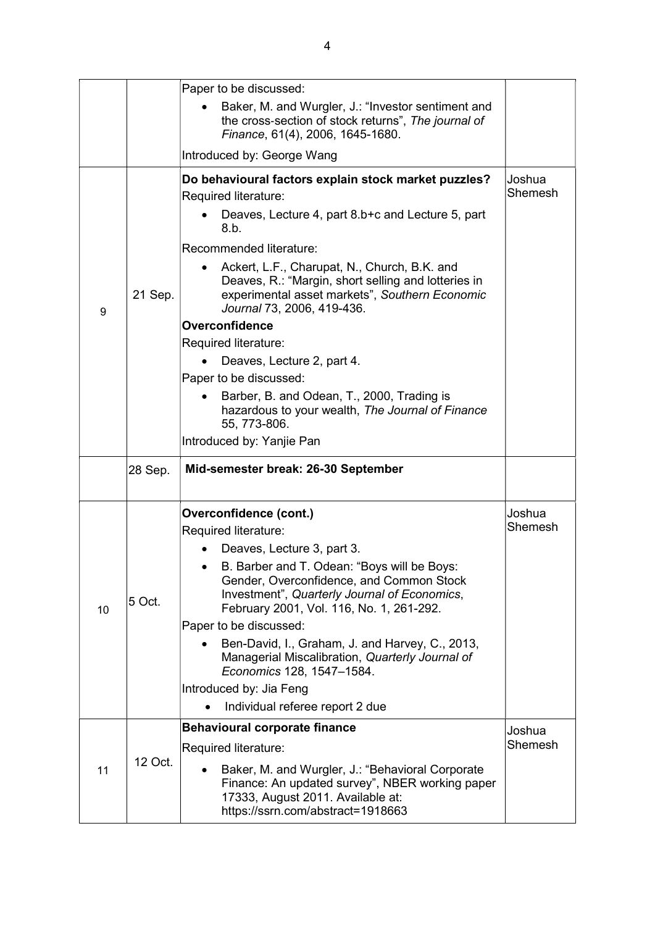|    |         | Paper to be discussed:                                                                                                                                                                                                                                                                                                                                                                                                                                                                                                                                                                                       |                   |
|----|---------|--------------------------------------------------------------------------------------------------------------------------------------------------------------------------------------------------------------------------------------------------------------------------------------------------------------------------------------------------------------------------------------------------------------------------------------------------------------------------------------------------------------------------------------------------------------------------------------------------------------|-------------------|
|    |         | Baker, M. and Wurgler, J.: "Investor sentiment and<br>the cross-section of stock returns", The journal of<br>Finance, 61(4), 2006, 1645-1680.                                                                                                                                                                                                                                                                                                                                                                                                                                                                |                   |
|    |         | Introduced by: George Wang                                                                                                                                                                                                                                                                                                                                                                                                                                                                                                                                                                                   |                   |
| 9  | 21 Sep. | Do behavioural factors explain stock market puzzles?<br>Required literature:<br>Deaves, Lecture 4, part 8.b+c and Lecture 5, part<br>8.b.<br>Recommended literature:<br>Ackert, L.F., Charupat, N., Church, B.K. and<br>Deaves, R.: "Margin, short selling and lotteries in<br>experimental asset markets", Southern Economic<br>Journal 73, 2006, 419-436.<br>Overconfidence<br>Required literature:<br>Deaves, Lecture 2, part 4.<br>Paper to be discussed:<br>Barber, B. and Odean, T., 2000, Trading is<br>hazardous to your wealth, The Journal of Finance<br>55, 773-806.<br>Introduced by: Yanjie Pan | Joshua<br>Shemesh |
|    | 28 Sep. | Mid-semester break: 26-30 September                                                                                                                                                                                                                                                                                                                                                                                                                                                                                                                                                                          |                   |
| 10 | 5 Oct.  | Overconfidence (cont.)<br>Required literature:<br>Deaves, Lecture 3, part 3.<br>B. Barber and T. Odean: "Boys will be Boys:<br>Gender, Overconfidence, and Common Stock<br>Investment", Quarterly Journal of Economics,<br>February 2001, Vol. 116, No. 1, 261-292.<br>Paper to be discussed:<br>Ben-David, I., Graham, J. and Harvey, C., 2013,<br>Managerial Miscalibration, Quarterly Journal of<br>Economics 128, 1547-1584.<br>Introduced by: Jia Feng<br>Individual referee report 2 due<br>$\bullet$                                                                                                  | Joshua<br>Shemesh |
| 11 | 12 Oct. | <b>Behavioural corporate finance</b><br>Required literature:<br>Baker, M. and Wurgler, J.: "Behavioral Corporate<br>Finance: An updated survey", NBER working paper<br>17333, August 2011. Available at:<br>https://ssrn.com/abstract=1918663                                                                                                                                                                                                                                                                                                                                                                | Joshua<br>Shemesh |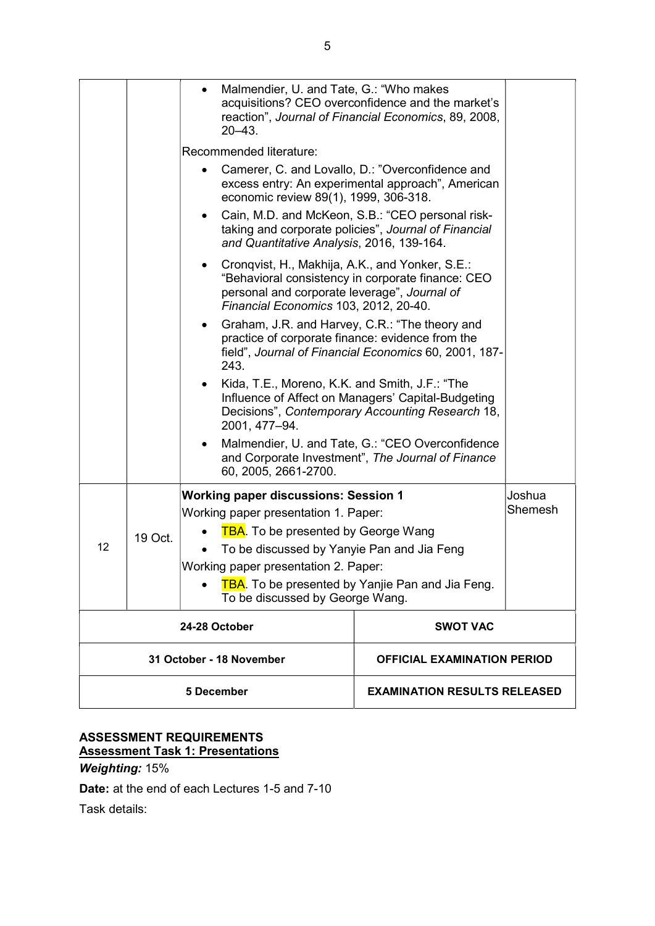|                          |         | Malmendier, U. and Tate, G.: "Who makes<br>$20 - 43$ .                                                                                   | acquisitions? CEO overconfidence and the market's<br>reaction", Journal of Financial Economics, 89, 2008, |         |
|--------------------------|---------|------------------------------------------------------------------------------------------------------------------------------------------|-----------------------------------------------------------------------------------------------------------|---------|
|                          |         | Recommended literature:                                                                                                                  |                                                                                                           |         |
|                          |         | economic review 89(1), 1999, 306-318.                                                                                                    | Camerer, C. and Lovallo, D.: "Overconfidence and<br>excess entry: An experimental approach", American     |         |
|                          |         | and Quantitative Analysis, 2016, 139-164.                                                                                                | Cain, M.D. and McKeon, S.B.: "CEO personal risk-<br>taking and corporate policies", Journal of Financial  |         |
|                          |         | Cronqvist, H., Makhija, A.K., and Yonker, S.E.:<br>personal and corporate leverage", Journal of<br>Financial Economics 103, 2012, 20-40. | "Behavioral consistency in corporate finance: CEO                                                         |         |
|                          |         | Graham, J.R. and Harvey, C.R.: "The theory and<br>$\bullet$<br>practice of corporate finance: evidence from the<br>243.                  | field", Journal of Financial Economics 60, 2001, 187-                                                     |         |
|                          |         | Kida, T.E., Moreno, K.K. and Smith, J.F.: "The<br>2001, 477-94.                                                                          | Influence of Affect on Managers' Capital-Budgeting<br>Decisions", Contemporary Accounting Research 18,    |         |
|                          |         | 60, 2005, 2661-2700.                                                                                                                     | Malmendier, U. and Tate, G.: "CEO Overconfidence<br>and Corporate Investment", The Journal of Finance     |         |
|                          |         | <b>Working paper discussions: Session 1</b>                                                                                              |                                                                                                           | Joshua  |
|                          | 19 Oct. | Working paper presentation 1. Paper:                                                                                                     |                                                                                                           | Shemesh |
|                          |         | <b>TBA.</b> To be presented by George Wang                                                                                               |                                                                                                           |         |
| 12                       |         | To be discussed by Yanyie Pan and Jia Feng                                                                                               |                                                                                                           |         |
|                          |         | Working paper presentation 2. Paper:                                                                                                     |                                                                                                           |         |
|                          |         | To be discussed by George Wang.                                                                                                          | <b>TBA.</b> To be presented by Yanjie Pan and Jia Feng.                                                   |         |
| 24-28 October            |         |                                                                                                                                          | <b>SWOT VAC</b>                                                                                           |         |
| 31 October - 18 November |         |                                                                                                                                          | <b>OFFICIAL EXAMINATION PERIOD</b>                                                                        |         |
| 5 December               |         |                                                                                                                                          | <b>EXAMINATION RESULTS RELEASED</b>                                                                       |         |

## ASSESSMENT REQUIREMENTS Assessment Task 1: Presentations

# Weighting: 15%

Date: at the end of each Lectures 1-5 and 7-10

Task details: